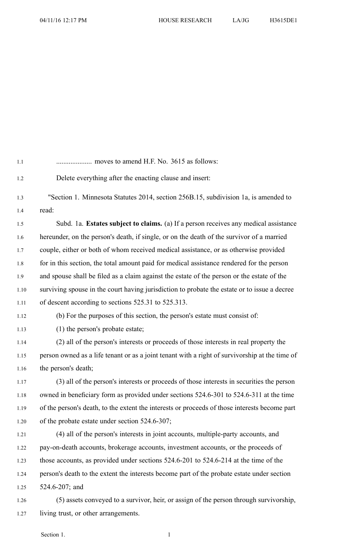| 1.1  |                                                                                                |
|------|------------------------------------------------------------------------------------------------|
| 1.2  | Delete everything after the enacting clause and insert:                                        |
| 1.3  | "Section 1. Minnesota Statutes 2014, section 256B.15, subdivision 1a, is amended to            |
| 1.4  | read:                                                                                          |
| 1.5  | Subd. 1a. Estates subject to claims. (a) If a person receives any medical assistance           |
| 1.6  | hereunder, on the person's death, if single, or on the death of the survivor of a married      |
| 1.7  | couple, either or both of whom received medical assistance, or as otherwise provided           |
| 1.8  | for in this section, the total amount paid for medical assistance rendered for the person      |
| 1.9  | and spouse shall be filed as a claim against the estate of the person or the estate of the     |
| 1.10 | surviving spouse in the court having jurisdiction to probate the estate or to issue a decree   |
| 1.11 | of descent according to sections 525.31 to 525.313.                                            |
| 1.12 | (b) For the purposes of this section, the person's estate must consist of:                     |
| 1.13 | (1) the person's probate estate;                                                               |
| 1.14 | (2) all of the person's interests or proceeds of those interests in real property the          |
| 1.15 | person owned as a life tenant or as a joint tenant with a right of survivorship at the time of |
| 1.16 | the person's death;                                                                            |
| 1.17 | (3) all of the person's interests or proceeds of those interests in securities the person      |
| 1.18 | owned in beneficiary form as provided under sections 524.6-301 to 524.6-311 at the time        |
| 1.19 | of the person's death, to the extent the interests or proceeds of those interests become part  |
| 1.20 | of the probate estate under section 524.6-307;                                                 |
| 1.21 | (4) all of the person's interests in joint accounts, multiple-party accounts, and              |
| 1.22 | pay-on-death accounts, brokerage accounts, investment accounts, or the proceeds of             |
| 1.23 | those accounts, as provided under sections 524.6-201 to 524.6-214 at the time of the           |
| 1.24 | person's death to the extent the interests become part of the probate estate under section     |
| 1.25 | $524.6 - 207$ ; and                                                                            |
| 1.26 | (5) assets conveyed to a survivor, heir, or assign of the person through survivorship,         |
| 1.27 | living trust, or other arrangements.                                                           |

Section 1. 1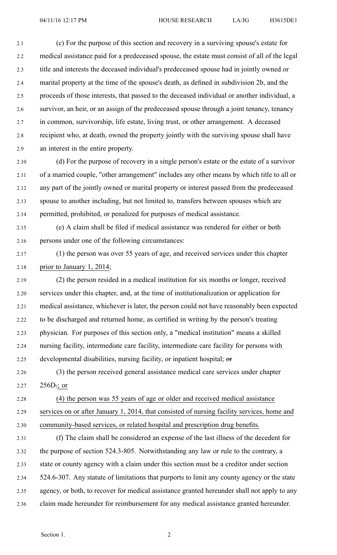2.1 (c) For the purpose of this section and recovery in <sup>a</sup> surviving spouse's estate for 2.2 medical assistance paid for <sup>a</sup> predeceased spouse, the estate must consist of all of the legal 2.3 title and interests the deceased individual's predeceased spouse had in jointly owned or 2.4 marital property at the time of the spouse's death, as defined in subdivision 2b, and the 2.5 proceeds of those interests, that passed to the deceased individual or another individual, <sup>a</sup> 2.6 survivor, an heir, or an assign of the predeceased spouse through <sup>a</sup> joint tenancy, tenancy 2.7 in common, survivorship, life estate, living trust, or other arrangement. A deceased 2.8 recipient who, at death, owned the property jointly with the surviving spouse shall have 2.9 an interest in the entire property.

2.10 (d) For the purpose of recovery in <sup>a</sup> single person's estate or the estate of <sup>a</sup> survivor 2.11 of <sup>a</sup> married couple, "other arrangement" includes any other means by which title to all or 2.12 any par<sup>t</sup> of the jointly owned or marital property or interest passed from the predeceased 2.13 spouse to another including, but not limited to, transfers between spouses which are 2.14 permitted, prohibited, or penalized for purposes of medical assistance.

2.15 (e) A claim shall be filed if medical assistance was rendered for either or both 2.16 persons under one of the following circumstances:

## 2.17 (1) the person was over 55 years of age, and received services under this chapter 2.18 prior to January 1, 2014;

2.19 (2) the person resided in <sup>a</sup> medical institution for six months or longer, received 2.20 services under this chapter, and, at the time of institutionalization or application for 2.21 medical assistance, whichever is later, the person could not have reasonably been expected 2.22 to be discharged and returned home, as certified in writing by the person's treating 2.23 physician. For purposes of this section only, <sup>a</sup> "medical institution" means <sup>a</sup> skilled 2.24 nursing facility, intermediate care facility, intermediate care facility for persons with 2.25 developmental disabilities, nursing facility, or inpatient hospital; or

2.26 (3) the person received general assistance medical care services under chapter 2.27  $256D$ ; or

2.28 (4) the person was 55 years of age or older and received medical assistance 2.29 services on or after January 1, 2014, that consisted of nursing facility services, home and 2.30 community-based services, or related hospital and prescription drug benefits.

2.31 (f) The claim shall be considered an expense of the last illness of the decedent for 2.32 the purpose of section 524.3-805. Notwithstanding any law or rule to the contrary, <sup>a</sup> 2.33 state or county agency with <sup>a</sup> claim under this section must be <sup>a</sup> creditor under section 2.34 524.6-307. Any statute of limitations that purports to limit any county agency or the state 2.35 agency, or both, to recover for medical assistance granted hereunder shall not apply to any 2.36 claim made hereunder for reimbursement for any medical assistance granted hereunder.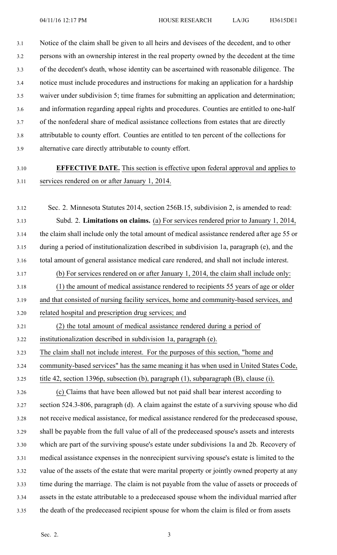3.1 Notice of the claim shall be given to all heirs and devisees of the decedent, and to other 3.2 persons with an ownership interest in the real property owned by the decedent at the time 3.3 of the decedent's death, whose identity can be ascertained with reasonable diligence. The 3.4 notice must include procedures and instructions for making an application for <sup>a</sup> hardship 3.5 waiver under subdivision 5; time frames for submitting an application and determination; 3.6 and information regarding appeal rights and procedures. Counties are entitled to one-half 3.7 of the nonfederal share of medical assistance collections from estates that are directly 3.8 attributable to county effort. Counties are entitled to ten percen<sup>t</sup> of the collections for 3.9 alternative care directly attributable to county effort.

## 3.10 **EFFECTIVE DATE.** This section is effective upon federal approval and applies to 3.11 services rendered on or after January 1, 2014.

3.12 Sec. 2. Minnesota Statutes 2014, section 256B.15, subdivision 2, is amended to read: 3.13 Subd. 2. **Limitations on claims.** (a) For services rendered prior to January 1, 2014, 3.14 the claim shall include only the total amount of medical assistance rendered after age 55 or 3.15 during <sup>a</sup> period of institutionalization described in subdivision 1a, paragraph (e), and the 3.16 total amount of general assistance medical care rendered, and shall not include interest. 3.17 (b) For services rendered on or after January 1, 2014, the claim shall include only: 3.18 (1) the amount of medical assistance rendered to recipients 55 years of age or older 3.19 and that consisted of nursing facility services, home and community-based services, and 3.20 related hospital and prescription drug services; and 3.21 (2) the total amount of medical assistance rendered during <sup>a</sup> period of 3.22 institutionalization described in subdivision 1a, paragraph (e). 3.23 The claim shall not include interest. For the purposes of this section, "home and 3.24 community-based services" has the same meaning it has when used in United States Code, 3.25 title 42, section 1396p, subsection (b), paragraph (1), subparagraph (B), clause (i). 3.26 (c) Claims that have been allowed but not paid shall bear interest according to 3.27 section 524.3-806, paragraph (d). A claim against the estate of <sup>a</sup> surviving spouse who did 3.28 not receive medical assistance, for medical assistance rendered for the predeceased spouse, 3.29 shall be payable from the full value of all of the predeceased spouse's assets and interests 3.30 which are par<sup>t</sup> of the surviving spouse's estate under subdivisions 1a and 2b. Recovery of 3.31 medical assistance expenses in the nonrecipient surviving spouse's estate is limited to the 3.32 value of the assets of the estate that were marital property or jointly owned property at any 3.33 time during the marriage. The claim is not payable from the value of assets or proceeds of 3.34 assets in the estate attributable to <sup>a</sup> predeceased spouse whom the individual married after 3.35 the death of the predeceased recipient spouse for whom the claim is filed or from assets